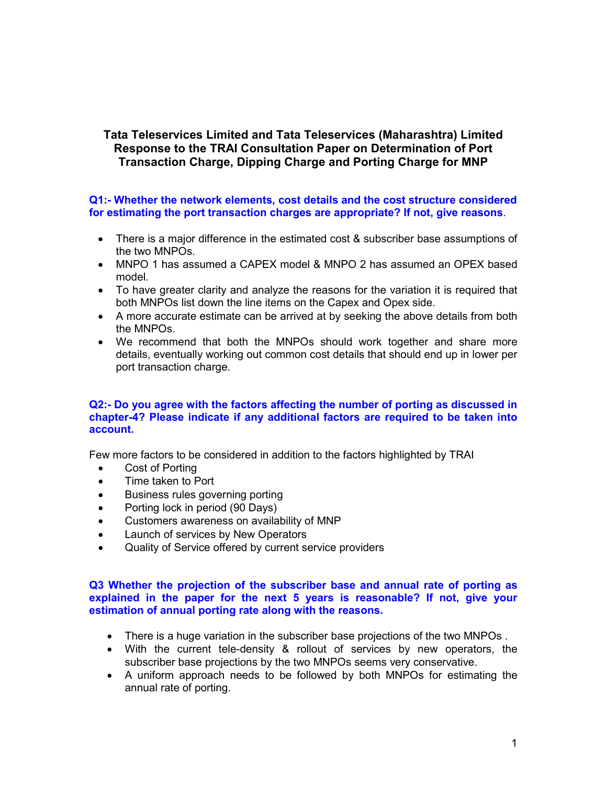# Tata Teleservices Limited and Tata Teleservices (Maharashtra) Limited Response to the TRAI Consultation Paper on Determination of Port Transaction Charge, Dipping Charge and Porting Charge for MNP

Q1:- Whether the network elements, cost details and the cost structure considered for estimating the port transaction charges are appropriate? If not, give reasons.

- There is a major difference in the estimated cost & subscriber base assumptions of the two MNPOs.
- MNPO 1 has assumed a CAPEX model & MNPO 2 has assumed an OPEX based model.
- To have greater clarity and analyze the reasons for the variation it is required that both MNPOs list down the line items on the Capex and Opex side.
- A more accurate estimate can be arrived at by seeking the above details from both the MNPOs.
- We recommend that both the MNPOs should work together and share more details, eventually working out common cost details that should end up in lower per port transaction charge.

## Q2:- Do you agree with the factors affecting the number of porting as discussed in chapter-4? Please indicate if any additional factors are required to be taken into account.

Few more factors to be considered in addition to the factors highlighted by TRAI

- Cost of Porting
- Time taken to Port
- Business rules governing porting
- Porting lock in period (90 Days)
- Customers awareness on availability of MNP
- Launch of services by New Operators
- Quality of Service offered by current service providers

# Q3 Whether the projection of the subscriber base and annual rate of porting as explained in the paper for the next 5 years is reasonable? If not, give your estimation of annual porting rate along with the reasons.

- There is a huge variation in the subscriber base projections of the two MNPOs .
- With the current tele-density & rollout of services by new operators, the subscriber base projections by the two MNPOs seems very conservative.
- A uniform approach needs to be followed by both MNPOs for estimating the annual rate of porting.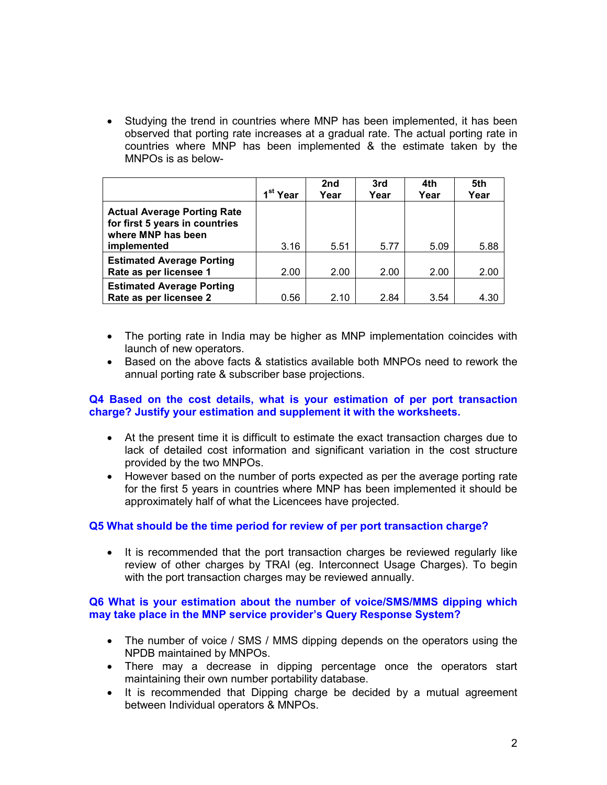• Studying the trend in countries where MNP has been implemented, it has been observed that porting rate increases at a gradual rate. The actual porting rate in countries where MNP has been implemented & the estimate taken by the MNPOs is as below-

|                                                                                                           | 1 <sup>st</sup> Year | 2nd<br>Year | 3rd<br>Year | 4th<br>Year | 5th<br>Year |
|-----------------------------------------------------------------------------------------------------------|----------------------|-------------|-------------|-------------|-------------|
| <b>Actual Average Porting Rate</b><br>for first 5 years in countries<br>where MNP has been<br>implemented | 3.16                 | 5.51        | 5.77        | 5.09        | 5.88        |
| <b>Estimated Average Porting</b><br>Rate as per licensee 1                                                | 2.00                 | 2.00        | 2.00        | 2.00        | 2.00        |
| <b>Estimated Average Porting</b><br>Rate as per licensee 2                                                | 0.56                 | 2.10        | 2.84        | 3.54        | 4.30        |

- The porting rate in India may be higher as MNP implementation coincides with launch of new operators.
- Based on the above facts & statistics available both MNPOs need to rework the annual porting rate & subscriber base projections.

# Q4 Based on the cost details, what is your estimation of per port transaction charge? Justify your estimation and supplement it with the worksheets.

- At the present time it is difficult to estimate the exact transaction charges due to lack of detailed cost information and significant variation in the cost structure provided by the two MNPOs.
- However based on the number of ports expected as per the average porting rate for the first 5 years in countries where MNP has been implemented it should be approximately half of what the Licencees have projected.

# Q5 What should be the time period for review of per port transaction charge?

• It is recommended that the port transaction charges be reviewed regularly like review of other charges by TRAI (eg. Interconnect Usage Charges). To begin with the port transaction charges may be reviewed annually.

# Q6 What is your estimation about the number of voice/SMS/MMS dipping which may take place in the MNP service provider's Query Response System?

- The number of voice / SMS / MMS dipping depends on the operators using the NPDB maintained by MNPOs.
- There may a decrease in dipping percentage once the operators start maintaining their own number portability database.
- It is recommended that Dipping charge be decided by a mutual agreement between Individual operators & MNPOs.